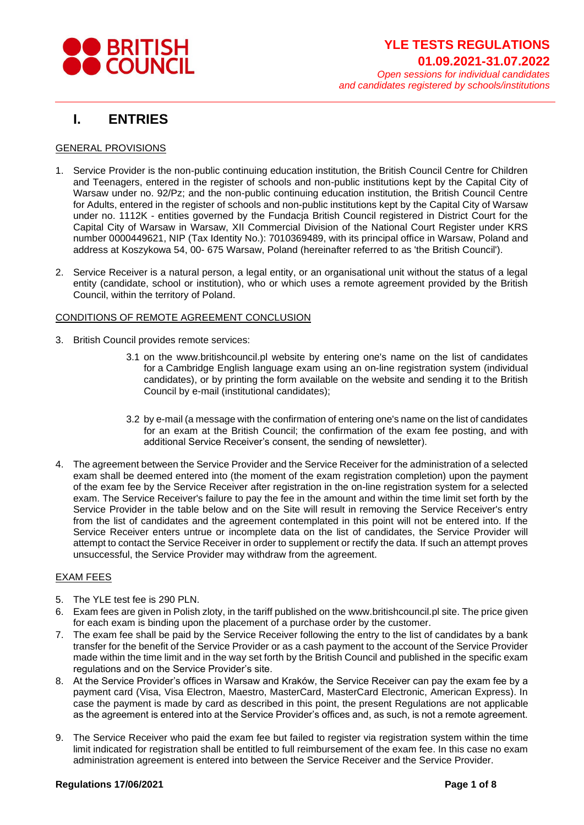

# **I. ENTRIES**

## GENERAL PROVISIONS

- 1. Service Provider is the non-public continuing education institution, the British Council Centre for Children and Teenagers, entered in the register of schools and non-public institutions kept by the Capital City of Warsaw under no. 92/Pz; and the non-public continuing education institution, the British Council Centre for Adults, entered in the register of schools and non-public institutions kept by the Capital City of Warsaw under no. 1112K - entities governed by the Fundacja British Council registered in District Court for the Capital City of Warsaw in Warsaw, XII Commercial Division of the National Court Register under KRS number 0000449621, NIP (Tax Identity No.): 7010369489, with its principal office in Warsaw, Poland and address at Koszykowa 54, 00- 675 Warsaw, Poland (hereinafter referred to as 'the British Council').
- 2. Service Receiver is a natural person, a legal entity, or an organisational unit without the status of a legal entity (candidate, school or institution), who or which uses a remote agreement provided by the British Council, within the territory of Poland.

### CONDITIONS OF REMOTE AGREEMENT CONCLUSION

- 3. British Council provides remote services:
	- 3.1 on the [www.britishcouncil.pl](http://www.britishcouncil.pl/) website by entering one's name on the list of candidates for a Cambridge English language exam using an on-line registration system (individual candidates), or by printing the form available on the website and sending it to the British Council by e-mail (institutional candidates);
	- 3.2 by e-mail (a message with the confirmation of entering one's name on the list of candidates for an exam at the British Council; the confirmation of the exam fee posting, and with additional Service Receiver's consent, the sending of newsletter).
- 4. The agreement between the Service Provider and the Service Receiver for the administration of a selected exam shall be deemed entered into (the moment of the exam registration completion) upon the payment of the exam fee by the Service Receiver after registration in the on-line registration system for a selected exam. The Service Receiver's failure to pay the fee in the amount and within the time limit set forth by the Service Provider in the table below and on the Site will result in removing the Service Receiver's entry from the list of candidates and the agreement contemplated in this point will not be entered into. If the Service Receiver enters untrue or incomplete data on the list of candidates, the Service Provider will attempt to contact the Service Receiver in order to supplement or rectify the data. If such an attempt proves unsuccessful, the Service Provider may withdraw from the agreement.

## EXAM FEES

- 5. The YLE test fee is 290 PLN.
- 6. Exam fees are given in Polish zloty, in the tariff published on the [www.britishcouncil.pl](http://www.britishcouncil.pl/) site. The price given for each exam is binding upon the placement of a purchase order by the customer.
- 7. The exam fee shall be paid by the Service Receiver following the entry to the list of candidates by a bank transfer for the benefit of the Service Provider or as a cash payment to the account of the Service Provider made within the time limit and in the way set forth by the British Council and published in the specific exam regulations and on the Service Provider's site.
- 8. At the Service Provider's offices in Warsaw and Kraków, the Service Receiver can pay the exam fee by a payment card (Visa, Visa Electron, Maestro, MasterCard, MasterCard Electronic, American Express). In case the payment is made by card as described in this point, the present Regulations are not applicable as the agreement is entered into at the Service Provider's offices and, as such, is not a remote agreement.
- 9. The Service Receiver who paid the exam fee but failed to register via registration system within the time limit indicated for registration shall be entitled to full reimbursement of the exam fee. In this case no exam administration agreement is entered into between the Service Receiver and the Service Provider.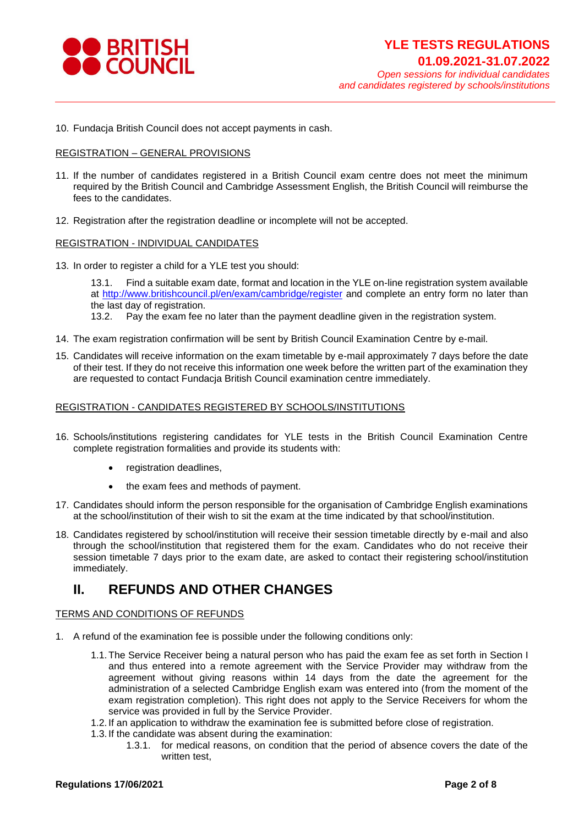

10. Fundacja British Council does not accept payments in cash.

#### REGISTRATION – GENERAL PROVISIONS

- 11. If the number of candidates registered in a British Council exam centre does not meet the minimum required by the British Council and Cambridge Assessment English, the British Council will reimburse the fees to the candidates.
- 12. Registration after the registration deadline or incomplete will not be accepted.

#### REGISTRATION - INDIVIDUAL CANDIDATES

13. In order to register a child for a YLE test you should:

13.1. Find a suitable exam date, format and location in the YLE on-line registration system available at<http://www.britishcouncil.pl/en/exam/cambridge/register> and complete an entry form no later than the last day of registration.

13.2. Pay the exam fee no later than the payment deadline given in the registration system.

- 14. The exam registration confirmation will be sent by British Council Examination Centre by e-mail.
- 15. Candidates will receive information on the exam timetable by e-mail approximately 7 days before the date of their test. If they do not receive this information one week before the written part of the examination they are requested to contact Fundacja British Council examination centre immediately.

#### REGISTRATION - CANDIDATES REGISTERED BY SCHOOLS/INSTITUTIONS

- 16. Schools/institutions registering candidates for YLE tests in the British Council Examination Centre complete registration formalities and provide its students with:
	- registration deadlines,
	- the exam fees and methods of payment.
- 17. Candidates should inform the person responsible for the organisation of Cambridge English examinations at the school/institution of their wish to sit the exam at the time indicated by that school/institution.
- 18. Candidates registered by school/institution will receive their session timetable directly by e-mail and also through the school/institution that registered them for the exam. Candidates who do not receive their session timetable 7 days prior to the exam date, are asked to contact their registering school/institution immediately.

# **II. REFUNDS AND OTHER CHANGES**

#### TERMS AND CONDITIONS OF REFUNDS

- 1. A refund of the examination fee is possible under the following conditions only:
	- 1.1.The Service Receiver being a natural person who has paid the exam fee as set forth in Section I and thus entered into a remote agreement with the Service Provider may withdraw from the agreement without giving reasons within 14 days from the date the agreement for the administration of a selected Cambridge English exam was entered into (from the moment of the exam registration completion). This right does not apply to the Service Receivers for whom the service was provided in full by the Service Provider.
	- 1.2. If an application to withdraw the examination fee is submitted before close of registration.
	- 1.3. If the candidate was absent during the examination:
		- 1.3.1. for medical reasons, on condition that the period of absence covers the date of the written test,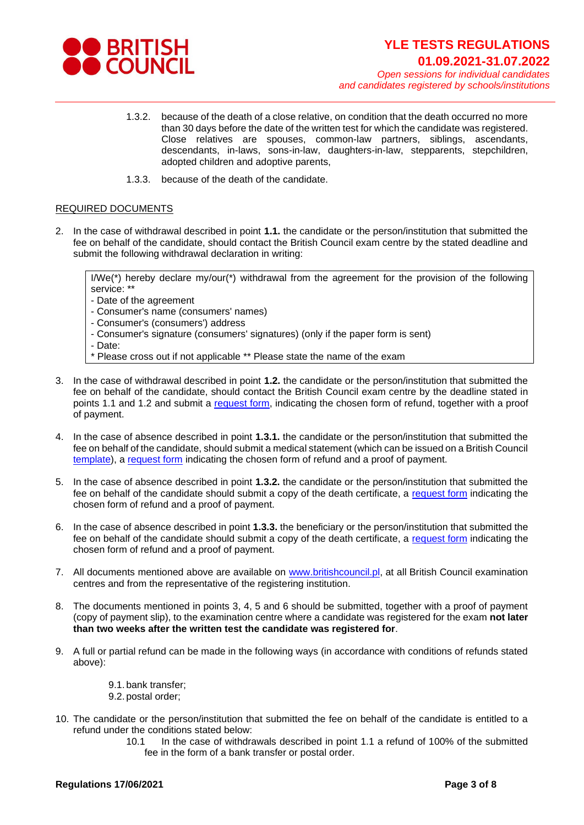

- 1.3.2. because of the death of a close relative, on condition that the death occurred no more than 30 days before the date of the written test for which the candidate was registered. Close relatives are spouses, common-law partners, siblings, ascendants, descendants, in-laws, sons-in-law, daughters-in-law, stepparents, stepchildren, adopted children and adoptive parents,
- 1.3.3. because of the death of the candidate.

### REQUIRED DOCUMENTS

2. In the case of withdrawal described in point **1.1.** the candidate or the person/institution that submitted the fee on behalf of the candidate, should contact the British Council exam centre by the stated deadline and submit the following withdrawal declaration in writing:

I/We(\*) hereby declare my/our(\*) withdrawal from the agreement for the provision of the following service: \*\*

- Date of the agreement
- Consumer's name (consumers' names)
- Consumer's (consumers') address
- Consumer's signature (consumers' signatures) (only if the paper form is sent)
- Date:
- Please cross out if not applicable \*\* Please state the name of the exam
- 3. In the case of withdrawal described in point **1.2.** the candidate or the person/institution that submitted the fee on behalf of the candidate, should contact the British Council exam centre by the deadline stated in points 1.1 and 1.2 and submit a [request form,](https://www.britishcouncil.pl/sites/default/files/refund_form_yle_uni_prof_school_2021_ep_final.pdf) indicating the chosen form of refund, together with a proof of payment.
- 4. In the case of absence described in point **1.3.1.** the candidate or the person/institution that submitted the fee on behalf of the candidate, should submit a medical statement (which can be issued on a British Council [template\)](https://www.britishcouncil.pl/sites/default/files/zwolnienie_lekarskie_medical_certificate_2021_pl_gb_ep_final.pdf), a [request form](https://www.britishcouncil.pl/sites/default/files/refund_form_yle_uni_prof_school_2021_ep_final.pdf) indicating the chosen form of refund and a proof of payment.
- 5. In the case of absence described in point **1.3.2.** the candidate or the person/institution that submitted the fee on behalf of the candidate should submit a copy of the death certificate, a [request form](https://www.britishcouncil.pl/sites/default/files/refund_form_yle_uni_prof_school_2021_ep_final.pdf) indicating the chosen form of refund and a proof of payment.
- 6. In the case of absence described in point **1.3.3.** the beneficiary or the person/institution that submitted the fee on behalf of the candidate should submit a copy of the death certificate, a [request form](https://www.britishcouncil.pl/sites/default/files/refund_form_yle_uni_prof_school_2021_ep_final.pdf) indicating the chosen form of refund and a proof of payment.
- 7. All documents mentioned above are available on [www.britishcouncil.pl,](http://www.britishcouncil.pl/) at all British Council examination centres and from the representative of the registering institution.
- 8. The documents mentioned in points 3, 4, 5 and 6 should be submitted, together with a proof of payment (copy of payment slip), to the examination centre where a candidate was registered for the exam **not later than two weeks after the written test the candidate was registered for**.
- 9. A full or partial refund can be made in the following ways (in accordance with conditions of refunds stated above):

9.1. bank transfer; 9.2. postal order;

- 10. The candidate or the person/institution that submitted the fee on behalf of the candidate is entitled to a refund under the conditions stated below:
	- 10.1 In the case of withdrawals described in point 1.1 a refund of 100% of the submitted fee in the form of a bank transfer or postal order.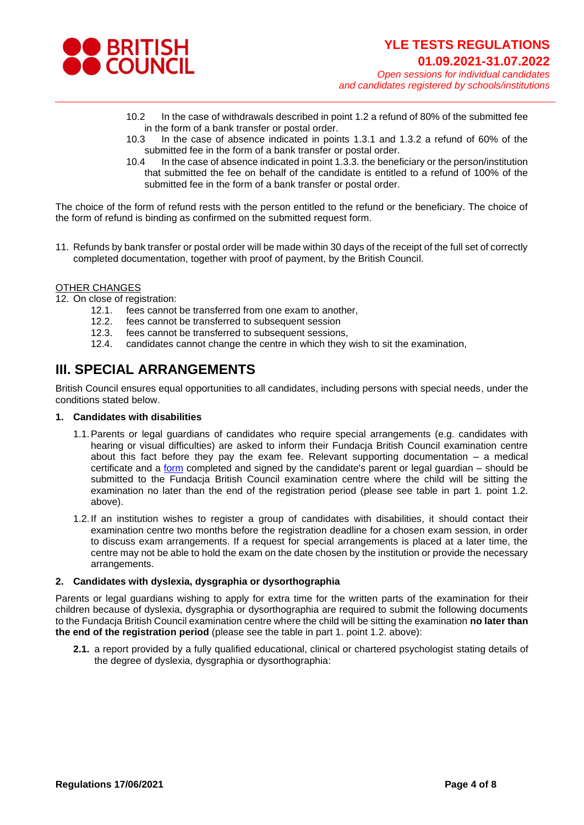

- 10.2 In the case of withdrawals described in point 1.2 a refund of 80% of the submitted fee in the form of a bank transfer or postal order.
- 10.3 In the case of absence indicated in points 1.3.1 and 1.3.2 a refund of 60% of the submitted fee in the form of a bank transfer or postal order.
- 10.4 In the case of absence indicated in point 1.3.3. the beneficiary or the person/institution that submitted the fee on behalf of the candidate is entitled to a refund of 100% of the submitted fee in the form of a bank transfer or postal order.

The choice of the form of refund rests with the person entitled to the refund or the beneficiary. The choice of the form of refund is binding as confirmed on the submitted request form.

11. Refunds by bank transfer or postal order will be made within 30 days of the receipt of the full set of correctly completed documentation, together with proof of payment, by the British Council.

### OTHER CHANGES

12. On close of registration:

- 12.1. fees cannot be transferred from one exam to another,
- 12.2. fees cannot be transferred to subsequent session
- 12.3. fees cannot be transferred to subsequent sessions,
- 12.4. candidates cannot change the centre in which they wish to sit the examination,

# **III. SPECIAL ARRANGEMENTS**

British Council ensures equal opportunities to all candidates, including persons with special needs, under the conditions stated below.

#### **1. Candidates with disabilities**

- 1.1.Parents or legal guardians of candidates who require special arrangements (e.g. candidates with hearing or visual difficulties) are asked to inform their Fundacja British Council examination centre about this fact before they pay the exam fee. Relevant supporting documentation – a medical certificate and a [form](https://www.britishcouncil.pl/sites/default/files/internal_sa_form_gb_16_09_2020_ep_final.pdf) completed and signed by the candidate's parent or legal guardian – should be submitted to the Fundacja British Council examination centre where the child will be sitting the examination no later than the end of the registration period (please see table in part 1. point 1.2. above).
- 1.2. If an institution wishes to register a group of candidates with disabilities, it should contact their examination centre two months before the registration deadline for a chosen exam session, in order to discuss exam arrangements. If a request for special arrangements is placed at a later time, the centre may not be able to hold the exam on the date chosen by the institution or provide the necessary arrangements.

#### **2. Candidates with dyslexia, dysgraphia or dysorthographia**

Parents or legal guardians wishing to apply for extra time for the written parts of the examination for their children because of dyslexia, dysgraphia or dysorthographia are required to submit the following documents to the Fundacja British Council examination centre where the child will be sitting the examination **no later than the end of the registration period** (please see the table in part 1. point 1.2. above):

**2.1.** a report provided by a fully qualified educational, clinical or chartered psychologist stating details of the degree of dyslexia, dysgraphia or dysorthographia: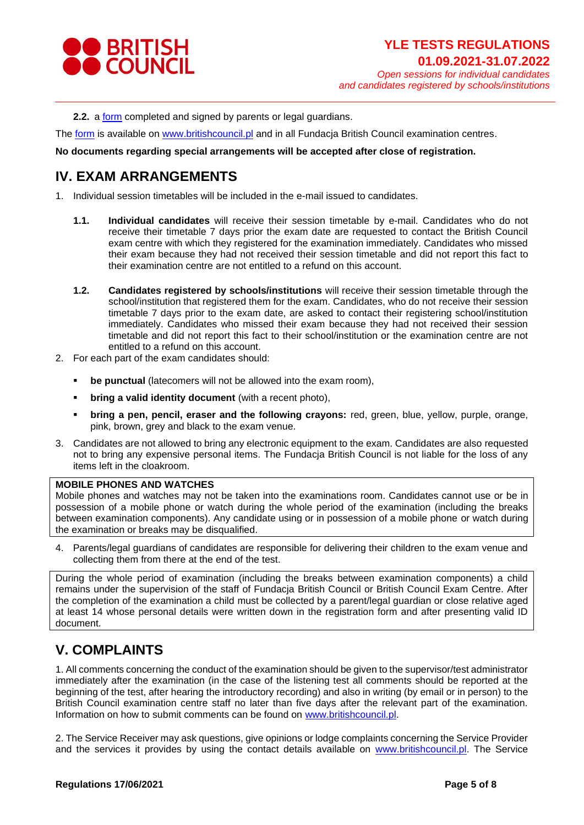

**2.2.** a **form** completed and signed by parents or legal guardians.

The [form](https://www.britishcouncil.pl/sites/default/files/internal_sa_form_gb_16_09_2020_ep_final.pdf) is available on [www.britishcouncil.pl](http://www.britishcouncil.pl/) and in all Fundacja British Council examination centres.

#### **No documents regarding special arrangements will be accepted after close of registration.**

# **IV. EXAM ARRANGEMENTS**

1. Individual session timetables will be included in the e-mail issued to candidates.

- **1.1. Individual candidates** will receive their session timetable by e-mail. Candidates who do not receive their timetable 7 days prior the exam date are requested to contact the British Council exam centre with which they registered for the examination immediately. Candidates who missed their exam because they had not received their session timetable and did not report this fact to their examination centre are not entitled to a refund on this account.
- **1.2. Candidates registered by schools/institutions** will receive their session timetable through the school/institution that registered them for the exam. Candidates, who do not receive their session timetable 7 days prior to the exam date, are asked to contact their registering school/institution immediately. Candidates who missed their exam because they had not received their session timetable and did not report this fact to their school/institution or the examination centre are not entitled to a refund on this account.
- 2. For each part of the exam candidates should:
	- **•** be punctual (latecomers will not be allowed into the exam room),
	- **•** bring a valid identity document (with a recent photo),
	- **bring a pen, pencil, eraser and the following crayons:** red, green, blue, yellow, purple, orange, pink, brown, grey and black to the exam venue.
- 3. Candidates are not allowed to bring any electronic equipment to the exam. Candidates are also requested not to bring any expensive personal items. The Fundacja British Council is not liable for the loss of any items left in the cloakroom.

#### **MOBILE PHONES AND WATCHES**

Mobile phones and watches may not be taken into the examinations room. Candidates cannot use or be in possession of a mobile phone or watch during the whole period of the examination (including the breaks between examination components). Any candidate using or in possession of a mobile phone or watch during the examination or breaks may be disqualified.

4. Parents/legal guardians of candidates are responsible for delivering their children to the exam venue and collecting them from there at the end of the test.

During the whole period of examination (including the breaks between examination components) a child remains under the supervision of the staff of Fundacja British Council or British Council Exam Centre. After the completion of the examination a child must be collected by a parent/legal guardian or close relative aged at least 14 whose personal details were written down in the registration form and after presenting valid ID document.

# **V. COMPLAINTS**

1. All comments concerning the conduct of the examination should be given to the supervisor/test administrator immediately after the examination (in the case of the listening test all comments should be reported at the beginning of the test, after hearing the introductory recording) and also in writing (by email or in person) to the British Council examination centre staff no later than five days after the relevant part of the examination. Information on how to submit comments can be found on [www.britishcouncil.pl.](http://www.britishcouncil.pl/)

2. The Service Receiver may ask questions, give opinions or lodge complaints concerning the Service Provider and the services it provides by using the contact details available on [www.britishcouncil.pl.](http://www.britishcouncil.pl/) The Service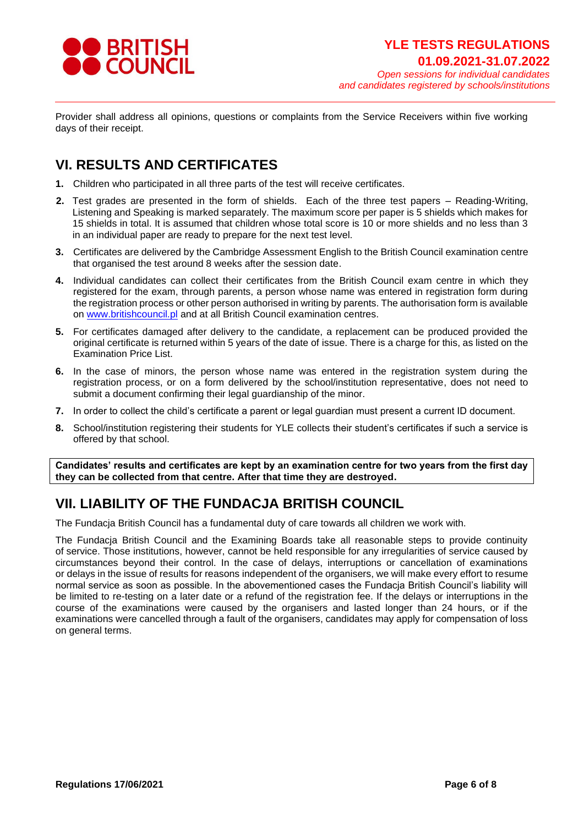

Provider shall address all opinions, questions or complaints from the Service Receivers within five working days of their receipt.

# **VI. RESULTS AND CERTIFICATES**

- **1.** Children who participated in all three parts of the test will receive certificates.
- **2.** Test grades are presented in the form of shields. Each of the three test papers Reading-Writing, Listening and Speaking is marked separately. The maximum score per paper is 5 shields which makes for 15 shields in total. It is assumed that children whose total score is 10 or more shields and no less than 3 in an individual paper are ready to prepare for the next test level.
- **3.** Certificates are delivered by the Cambridge Assessment English to the British Council examination centre that organised the test around 8 weeks after the session date.
- **4.** Individual candidates can collect their certificates from the British Council exam centre in which they registered for the exam, through parents, a person whose name was entered in registration form during the registration process or other person authorised in writing by parents. The authorisation form is available on [www.britishcouncil.pl](http://www.britishcouncil.pl/) and at all British Council examination centres.
- **5.** For certificates damaged after delivery to the candidate, a replacement can be produced provided the original certificate is returned within 5 years of the date of issue. There is a charge for this, as listed on the Examination Price List.
- **6.** In the case of minors, the person whose name was entered in the registration system during the registration process, or on a form delivered by the school/institution representative, does not need to submit a document confirming their legal guardianship of the minor.
- **7.** In order to collect the child's certificate a parent or legal guardian must present a current ID document.
- **8.** School/institution registering their students for YLE collects their student's certificates if such a service is offered by that school.

**Candidates' results and certificates are kept by an examination centre for two years from the first day they can be collected from that centre. After that time they are destroyed.**

# **VII. LIABILITY OF THE FUNDACJA BRITISH COUNCIL**

The Fundacja British Council has a fundamental duty of care towards all children we work with.

The Fundacja British Council and the Examining Boards take all reasonable steps to provide continuity of service. Those institutions, however, cannot be held responsible for any irregularities of service caused by circumstances beyond their control. In the case of delays, interruptions or cancellation of examinations or delays in the issue of results for reasons independent of the organisers, we will make every effort to resume normal service as soon as possible. In the abovementioned cases the Fundacja British Council's liability will be limited to re-testing on a later date or a refund of the registration fee. If the delays or interruptions in the course of the examinations were caused by the organisers and lasted longer than 24 hours, or if the examinations were cancelled through a fault of the organisers, candidates may apply for compensation of loss on general terms.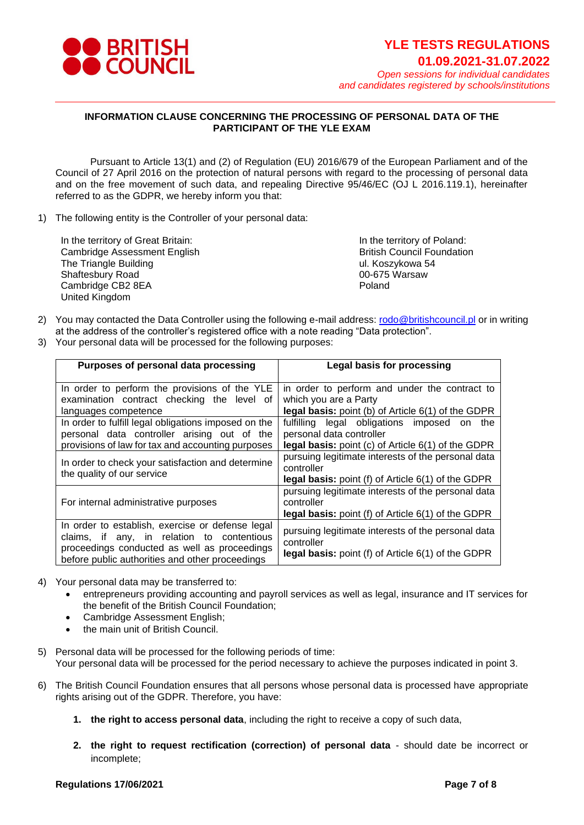

## **INFORMATION CLAUSE CONCERNING THE PROCESSING OF PERSONAL DATA OF THE PARTICIPANT OF THE YLE EXAM**

Pursuant to Article 13(1) and (2) of Regulation (EU) 2016/679 of the European Parliament and of the Council of 27 April 2016 on the protection of natural persons with regard to the processing of personal data and on the free movement of such data, and repealing Directive 95/46/EC (OJ L 2016.119.1), hereinafter referred to as the GDPR, we hereby inform you that:

1) The following entity is the Controller of your personal data:

In the territory of Great Britain: Cambridge Assessment English The Triangle Building Shaftesbury Road Cambridge CB2 8EA United Kingdom

In the territory of Poland: British Council Foundation ul. Koszykowa 54 00-675 Warsaw Poland

- 2) You may contacted the Data Controller using the following e-mail address: [rodo@britishcouncil.pl](mailto:rodo@britishcouncil.pl) or in writing at the address of the controller's registered office with a note reading "Data protection".
- 3) Your personal data will be processed for the following purposes:

| Purposes of personal data processing                                                                                                                                                              | <b>Legal basis for processing</b>                                                                                                       |
|---------------------------------------------------------------------------------------------------------------------------------------------------------------------------------------------------|-----------------------------------------------------------------------------------------------------------------------------------------|
| In order to perform the provisions of the YLE<br>examination contract checking the level of<br>languages competence                                                                               | in order to perform and under the contract to<br>which you are a Party<br><b>legal basis:</b> point (b) of Article 6(1) of the GDPR     |
| In order to fulfill legal obligations imposed on the<br>personal data controller arising out of the<br>provisions of law for tax and accounting purposes                                          | fulfilling legal obligations imposed on<br>the<br>personal data controller<br><b>legal basis:</b> point (c) of Article 6(1) of the GDPR |
| In order to check your satisfaction and determine<br>the quality of our service                                                                                                                   | pursuing legitimate interests of the personal data<br>controller<br>legal basis: point (f) of Article 6(1) of the GDPR                  |
| For internal administrative purposes                                                                                                                                                              | pursuing legitimate interests of the personal data<br>controller<br>legal basis: point (f) of Article 6(1) of the GDPR                  |
| In order to establish, exercise or defense legal<br>claims, if any, in relation to contentious<br>proceedings conducted as well as proceedings<br>before public authorities and other proceedings | pursuing legitimate interests of the personal data<br>controller<br>legal basis: point (f) of Article 6(1) of the GDPR                  |

- 4) Your personal data may be transferred to:
	- entrepreneurs providing accounting and payroll services as well as legal, insurance and IT services for the benefit of the British Council Foundation;
	- Cambridge Assessment English;
	- the main unit of British Council.
- 5) Personal data will be processed for the following periods of time: Your personal data will be processed for the period necessary to achieve the purposes indicated in point 3.
- 6) The British Council Foundation ensures that all persons whose personal data is processed have appropriate rights arising out of the GDPR. Therefore, you have:
	- **1. the right to access personal data**, including the right to receive a copy of such data,
	- **2. the right to request rectification (correction) of personal data** should date be incorrect or incomplete;